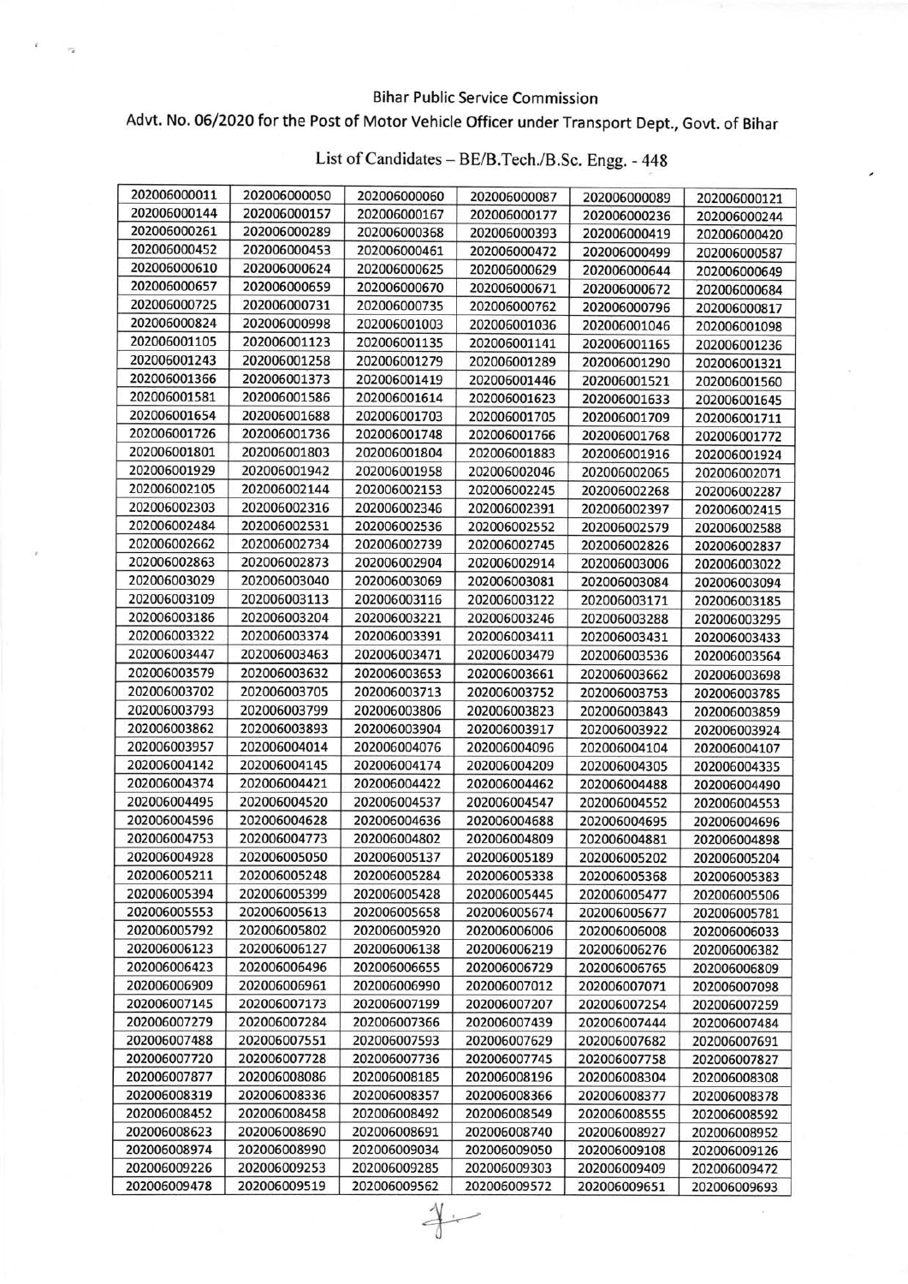## Bihar Public Service Commission

## Advt. No. 06/2020 for the Post of Motor Vehicle Officer under Transport Dept., Govt. of Bihar

| 202006000011 | 202006000050 | 202006000060 | 202006000087 | 202006000089 | 202006000121 |
|--------------|--------------|--------------|--------------|--------------|--------------|
| 202006000144 | 202006000157 | 202006000167 | 202006000177 | 202006000236 | 202006000244 |
| 202006000261 | 202006000289 | 202006000368 | 202006000393 | 202006000419 | 202006000420 |
| 202006000452 | 202006000453 | 202006000461 | 202006000472 | 202006000499 | 202006000587 |
| 202006000610 | 202006000624 | 202006000625 | 202006000629 | 202006000644 | 202006000649 |
| 202006000657 | 202006000659 | 202006000670 | 202006000671 | 202006000672 | 202006000684 |
| 202006000725 | 202006000731 | 202006000735 | 202006000762 | 202006000796 | 202006000817 |
| 202006000824 | 202006000998 | 202006001003 | 202006001036 | 202006001046 | 202006001098 |
| 202006001105 | 202006001123 | 202006001135 | 202006001141 | 202006001165 | 202006001236 |
| 202006001243 | 202006001258 | 202006001279 | 202006001289 | 202006001290 | 202006001321 |
| 202006001366 | 202006001373 | 202006001419 | 202006001446 | 202006001521 | 202006001560 |
| 202006001581 | 202006001586 | 202006001614 | 202006001623 | 202006001633 | 202006001645 |
| 202006001654 | 202006001688 | 202006001703 | 202006001705 | 202006001709 | 202006001711 |
| 202006001726 | 202006001736 | 202006001748 | 202006001766 | 202006001768 | 202006001772 |
| 202006001801 | 202006001803 | 202006001804 | 202006001883 | 202006001916 | 202006001924 |
| 202006001929 | 202006001942 | 202006001958 | 202006002046 | 202006002065 | 202006002071 |
| 202006002105 | 202006002144 | 202006002153 | 202006002245 | 202006002268 | 202006002287 |
| 202006002303 | 202006002316 | 202006002346 | 202006002391 | 202006002397 | 202006002415 |
| 202006002484 | 202006002531 | 202006002536 | 202006002552 | 202006002579 | 202006002588 |
| 202006002662 | 202006002734 | 202006002739 | 202006002745 | 202006002826 | 202006002837 |
| 202006002863 | 202006002873 | 202006002904 | 202006002914 | 202006003006 | 202006003022 |
| 202006003029 | 202006003040 | 202006003069 | 202006003081 | 202006003084 | 202006003094 |
| 202006003109 | 202006003113 | 202006003116 | 202006003122 | 202006003171 | 202006003185 |
| 202006003186 | 202006003204 | 202006003221 | 202006003246 | 202006003288 | 202006003295 |
| 202006003322 | 202006003374 | 202006003391 | 202006003411 | 202006003431 | 202006003433 |
| 202006003447 | 202006003463 | 202006003471 | 202006003479 | 202006003536 | 202006003564 |
| 202006003579 | 202006003632 | 202006003653 | 202006003661 | 202006003662 | 202006003698 |
| 202006003702 | 202006003705 | 202006003713 | 202006003752 | 202006003753 | 202006003785 |
| 202006003793 | 202006003799 | 202006003806 | 202006003823 | 202006003843 | 202006003859 |
| 202006003862 | 202006003893 | 202006003904 | 202006003917 | 202006003922 | 202006003924 |
| 202006003957 | 202006004014 | 202006004076 | 202006004096 | 202006004104 | 202006004107 |
| 202006004142 | 202006004145 | 202006004174 | 202006004209 | 202006004305 | 202006004335 |
| 202006004374 | 202006004421 | 202006004422 | 202006004462 | 202006004488 | 202006004490 |
| 202006004495 | 202006004520 | 202006004537 | 202006004547 | 202006004552 | 202006004553 |
| 202006004596 | 202006004628 | 202006004636 | 202006004688 | 202006004695 | 202006004696 |
| 202006004753 | 202006004773 | 202006004802 | 202006004809 | 202006004881 | 202006004898 |
| 202006004928 | 202006005050 | 202006005137 | 202006005189 | 202006005202 | 202006005204 |
| 202006005211 | 202006005248 | 202006005284 | 202006005338 | 202006005368 | 202006005383 |
| 202006005394 | 202006005399 | 202006005428 | 202006005445 | 202006005477 | 202006005506 |
| 202006005553 | 202006005613 | 202006005658 | 202006005674 | 202006005677 | 202006005781 |
| 202006005792 | 202006005802 | 202006005920 | 202006006006 | 202006006008 | 202006006033 |
| 202006006123 | 202006006127 | 202006006138 | 202006006219 | 202006006276 | 202006006382 |
| 202006006423 | 202006006496 | 202006006655 | 202006006729 | 202006006765 | 202006006809 |
| 202006006909 | 202006006961 | 202006006990 | 202006007012 | 202006007071 | 202006007098 |
| 202006007145 | 202006007173 | 202006007199 | 202006007207 | 202006007254 | 202006007259 |
| 202006007279 | 202006007284 | 202006007366 | 202006007439 | 202006007444 | 202006007484 |
| 202006007488 | 202006007551 | 202006007593 | 202006007629 | 202006007682 | 202006007691 |
| 202006007720 | 202006007728 | 202006007736 | 202006007745 | 202006007758 | 202006007827 |
| 202006007877 | 202006008086 | 202006008185 | 202006008196 | 202006008304 | 202006008308 |
| 202006008319 | 202006008336 | 202006008357 | 202006008366 | 202006008377 | 202006008378 |
| 202006008452 | 202006008458 | 202006008492 | 202006008549 | 202006008555 | 202006008592 |
| 202006008623 | 202006008690 | 202006008691 | 202006008740 | 202006008927 | 202006008952 |
| 202006008974 | 202006008990 | 202006009034 | 202006009050 | 202006009108 | 202006009126 |
| 202006009226 | 202006009253 | 202006009285 | 202006009303 | 202006009409 | 202006009472 |
| 202006009478 | 202006009519 | 202006009562 | 202006009572 | 202006009651 | 202006009693 |

 $rac{1}{2}$ 

## List of Candidates - BE/B.Tech./B.Sc. Engg. - <sup>448</sup>